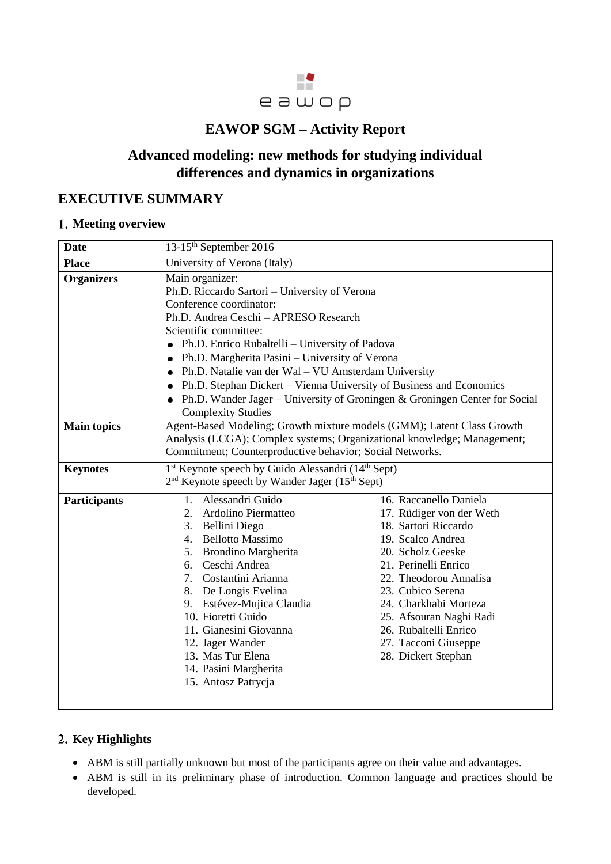

## **EAWOP SGM – Activity Report**

# **Advanced modeling: new methods for studying individual differences and dynamics in organizations**

## **EXECUTIVE SUMMARY**

#### **Meeting overview**

| <b>Date</b>         | 13-15 <sup>th</sup> September 2016                                                                                                                                                                                                                                                                                                                                                                                                                                                                                                   |                                                                                                                                                                                                                                                                                                                         |  |
|---------------------|--------------------------------------------------------------------------------------------------------------------------------------------------------------------------------------------------------------------------------------------------------------------------------------------------------------------------------------------------------------------------------------------------------------------------------------------------------------------------------------------------------------------------------------|-------------------------------------------------------------------------------------------------------------------------------------------------------------------------------------------------------------------------------------------------------------------------------------------------------------------------|--|
| <b>Place</b>        | University of Verona (Italy)                                                                                                                                                                                                                                                                                                                                                                                                                                                                                                         |                                                                                                                                                                                                                                                                                                                         |  |
| <b>Organizers</b>   | Main organizer:<br>Ph.D. Riccardo Sartori - University of Verona<br>Conference coordinator:<br>Ph.D. Andrea Ceschi - APRESO Research<br>Scientific committee:<br>Ph.D. Enrico Rubaltelli - University of Padova<br>$\bullet$<br>Ph.D. Margherita Pasini – University of Verona<br>Ph.D. Natalie van der Wal - VU Amsterdam University<br>Ph.D. Stephan Dickert - Vienna University of Business and Economics<br>Ph.D. Wander Jager – University of Groningen & Groningen Center for Social<br>$\bullet$<br><b>Complexity Studies</b> |                                                                                                                                                                                                                                                                                                                         |  |
| <b>Main topics</b>  | Agent-Based Modeling; Growth mixture models (GMM); Latent Class Growth<br>Analysis (LCGA); Complex systems; Organizational knowledge; Management;<br>Commitment; Counterproductive behavior; Social Networks.                                                                                                                                                                                                                                                                                                                        |                                                                                                                                                                                                                                                                                                                         |  |
| <b>Keynotes</b>     | 1 <sup>st</sup> Keynote speech by Guido Alessandri (14 <sup>th</sup> Sept)<br>2 <sup>nd</sup> Keynote speech by Wander Jager (15 <sup>th</sup> Sept)                                                                                                                                                                                                                                                                                                                                                                                 |                                                                                                                                                                                                                                                                                                                         |  |
| <b>Participants</b> | 1. Alessandri Guido<br>2. Ardolino Piermatteo<br>3. Bellini Diego<br>4. Bellotto Massimo<br>5. Brondino Margherita<br>6. Ceschi Andrea<br>7. Costantini Arianna<br>8. De Longis Evelina<br>9. Estévez-Mujica Claudia<br>10. Fioretti Guido<br>11. Gianesini Giovanna<br>12. Jager Wander<br>13. Mas Tur Elena<br>14. Pasini Margherita<br>15. Antosz Patrycja                                                                                                                                                                        | 16. Raccanello Daniela<br>17. Rüdiger von der Weth<br>18. Sartori Riccardo<br>19. Scalco Andrea<br>20. Scholz Geeske<br>21. Perinelli Enrico<br>22. Theodorou Annalisa<br>23. Cubico Serena<br>24. Charkhabi Morteza<br>25. Afsouran Naghi Radi<br>26. Rubaltelli Enrico<br>27. Tacconi Giuseppe<br>28. Dickert Stephan |  |

### 2. Key Highlights

- ABM is still partially unknown but most of the participants agree on their value and advantages.
- ABM is still in its preliminary phase of introduction. Common language and practices should be developed.